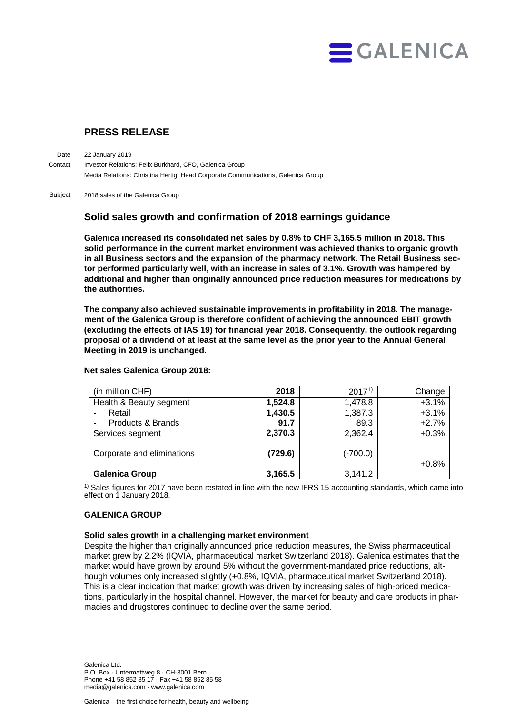

# **PRESS RELEASE**

22 January 2019 Investor Relations: Felix Burkhard, CFO, Galenica Group Media Relations: Christina Hertig, Head Corporate Communications, Galenica Group **Date Contact** 

2018 sales of the Galenica Group Subject

# **Solid sales growth and confirmation of 2018 earnings guidance**

**Galenica increased its consolidated net sales by 0.8% to CHF 3,165.5 million in 2018. This solid performance in the current market environment was achieved thanks to organic growth in all Business sectors and the expansion of the pharmacy network. The Retail Business sector performed particularly well, with an increase in sales of 3.1%. Growth was hampered by additional and higher than originally announced price reduction measures for medications by the authorities.** 

**The company also achieved sustainable improvements in profitability in 2018. The management of the Galenica Group is therefore confident of achieving the announced EBIT growth (excluding the effects of IAS 19) for financial year 2018. Consequently, the outlook regarding proposal of a dividend of at least at the same level as the prior year to the Annual General Meeting in 2019 is unchanged.**

| (in million CHF)           | 2018    | $2017^{1}$ | Change  |
|----------------------------|---------|------------|---------|
| Health & Beauty segment    | 1,524.8 | 1,478.8    | $+3.1%$ |
| Retail<br>٠                | 1,430.5 | 1,387.3    | $+3.1%$ |
| Products & Brands<br>۰     | 91.7    | 89.3       | $+2.7%$ |
| Services segment           | 2,370.3 | 2,362.4    | $+0.3%$ |
| Corporate and eliminations | (729.6) | (-700.0)   | $+0.8%$ |
| <b>Galenica Group</b>      | 3,165.5 | 3,141.2    |         |

#### **Net sales Galenica Group 2018:**

<sup>1)</sup> Sales figures for 2017 have been restated in line with the new IFRS 15 accounting standards, which came into effect on 1 January 2018.

# **GALENICA GROUP**

# **Solid sales growth in a challenging market environment**

Despite the higher than originally announced price reduction measures, the Swiss pharmaceutical market grew by 2.2% (IQVIA, pharmaceutical market Switzerland 2018). Galenica estimates that the market would have grown by around 5% without the government-mandated price reductions, although volumes only increased slightly (+0.8%, IQVIA, pharmaceutical market Switzerland 2018). This is a clear indication that market growth was driven by increasing sales of high-priced medications, particularly in the hospital channel. However, the market for beauty and care products in pharmacies and drugstores continued to decline over the same period.

Galenica Ltd. P.O. Box · Untermattweg 8 · CH-3001 Bern Phone +41 58 852 85 17 · Fax +41 58 852 85 58 media@galenica.com · www.galenica.com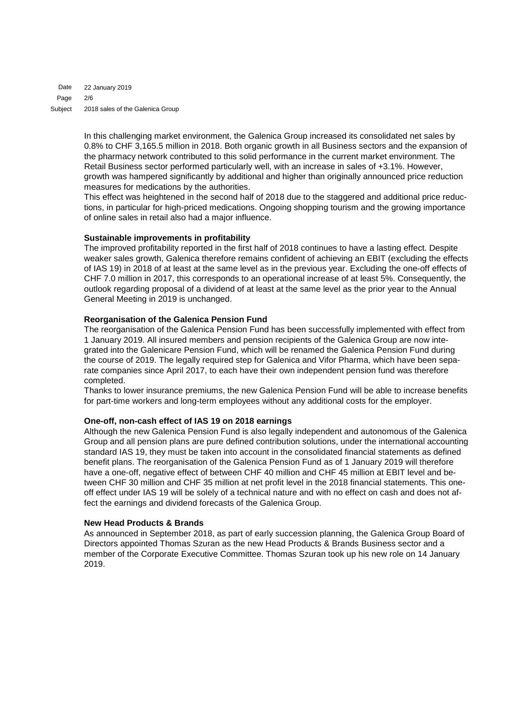22 January 2019 2/6 2018 sales of the Galenica Group Date Page Subject

> In this challenging market environment, the Galenica Group increased its consolidated net sales by 0.8% to CHF 3,165.5 million in 2018. Both organic growth in all Business sectors and the expansion of the pharmacy network contributed to this solid performance in the current market environment. The Retail Business sector performed particularly well, with an increase in sales of +3.1%. However, growth was hampered significantly by additional and higher than originally announced price reduction measures for medications by the authorities.

> This effect was heightened in the second half of 2018 due to the staggered and additional price reductions, in particular for high-priced medications. Ongoing shopping tourism and the growing importance of online sales in retail also had a major influence.

# **Sustainable improvements in profitability**

The improved profitability reported in the first half of 2018 continues to have a lasting effect. Despite weaker sales growth, Galenica therefore remains confident of achieving an EBIT (excluding the effects of IAS 19) in 2018 of at least at the same level as in the previous year. Excluding the one-off effects of CHF 7.0 million in 2017, this corresponds to an operational increase of at least 5%. Consequently, the outlook regarding proposal of a dividend of at least at the same level as the prior year to the Annual General Meeting in 2019 is unchanged.

# **Reorganisation of the Galenica Pension Fund**

The reorganisation of the Galenica Pension Fund has been successfully implemented with effect from 1 January 2019. All insured members and pension recipients of the Galenica Group are now integrated into the Galenicare Pension Fund, which will be renamed the Galenica Pension Fund during the course of 2019. The legally required step for Galenica and Vifor Pharma, which have been separate companies since April 2017, to each have their own independent pension fund was therefore completed.

Thanks to lower insurance premiums, the new Galenica Pension Fund will be able to increase benefits for part-time workers and long-term employees without any additional costs for the employer.

# **One-off, non-cash effect of IAS 19 on 2018 earnings**

Although the new Galenica Pension Fund is also legally independent and autonomous of the Galenica Group and all pension plans are pure defined contribution solutions, under the international accounting standard IAS 19, they must be taken into account in the consolidated financial statements as defined benefit plans. The reorganisation of the Galenica Pension Fund as of 1 January 2019 will therefore have a one-off, negative effect of between CHF 40 million and CHF 45 million at EBIT level and between CHF 30 million and CHF 35 million at net profit level in the 2018 financial statements. This oneoff effect under IAS 19 will be solely of a technical nature and with no effect on cash and does not affect the earnings and dividend forecasts of the Galenica Group.

# **New Head Products & Brands**

As announced in September 2018, as part of early succession planning, the Galenica Group Board of Directors appointed Thomas Szuran as the new Head Products & Brands Business sector and a member of the Corporate Executive Committee. Thomas Szuran took up his new role on 14 January 2019.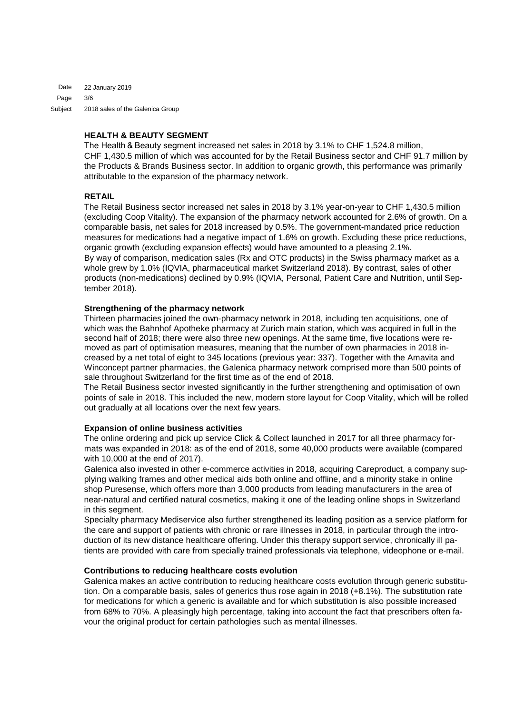22 January 2019 3/6 2018 sales of the Galenica Group Date Page Subject

# **HEALTH & BEAUTY SEGMENT**

The Health & Beauty segment increased net sales in 2018 by 3.1% to CHF 1,524.8 million, CHF 1,430.5 million of which was accounted for by the Retail Business sector and CHF 91.7 million by the Products & Brands Business sector. In addition to organic growth, this performance was primarily attributable to the expansion of the pharmacy network.

# **RETAIL**

The Retail Business sector increased net sales in 2018 by 3.1% year-on-year to CHF 1,430.5 million (excluding Coop Vitality). The expansion of the pharmacy network accounted for 2.6% of growth. On a comparable basis, net sales for 2018 increased by 0.5%. The government-mandated price reduction measures for medications had a negative impact of 1.6% on growth. Excluding these price reductions, organic growth (excluding expansion effects) would have amounted to a pleasing 2.1%. By way of comparison, medication sales (Rx and OTC products) in the Swiss pharmacy market as a whole grew by 1.0% (IQVIA, pharmaceutical market Switzerland 2018). By contrast, sales of other products (non-medications) declined by 0.9% (IQVIA, Personal, Patient Care and Nutrition, until September 2018).

# **Strengthening of the pharmacy network**

Thirteen pharmacies joined the own-pharmacy network in 2018, including ten acquisitions, one of which was the Bahnhof Apotheke pharmacy at Zurich main station, which was acquired in full in the second half of 2018; there were also three new openings. At the same time, five locations were removed as part of optimisation measures, meaning that the number of own pharmacies in 2018 increased by a net total of eight to 345 locations (previous year: 337). Together with the Amavita and Winconcept partner pharmacies, the Galenica pharmacy network comprised more than 500 points of sale throughout Switzerland for the first time as of the end of 2018.

The Retail Business sector invested significantly in the further strengthening and optimisation of own points of sale in 2018. This included the new, modern store layout for Coop Vitality, which will be rolled out gradually at all locations over the next few years.

# **Expansion of online business activities**

The online ordering and pick up service Click & Collect launched in 2017 for all three pharmacy formats was expanded in 2018: as of the end of 2018, some 40,000 products were available (compared with 10,000 at the end of 2017).

Galenica also invested in other e-commerce activities in 2018, acquiring Careproduct, a company supplying walking frames and other medical aids both online and offline, and a minority stake in online shop Puresense, which offers more than 3,000 products from leading manufacturers in the area of near-natural and certified natural cosmetics, making it one of the leading online shops in Switzerland in this segment.

Specialty pharmacy Mediservice also further strengthened its leading position as a service platform for the care and support of patients with chronic or rare illnesses in 2018, in particular through the introduction of its new distance healthcare offering. Under this therapy support service, chronically ill patients are provided with care from specially trained professionals via telephone, videophone or e-mail.

# **Contributions to reducing healthcare costs evolution**

Galenica makes an active contribution to reducing healthcare costs evolution through generic substitution. On a comparable basis, sales of generics thus rose again in 2018 (+8.1%). The substitution rate for medications for which a generic is available and for which substitution is also possible increased from 68% to 70%. A pleasingly high percentage, taking into account the fact that prescribers often favour the original product for certain pathologies such as mental illnesses.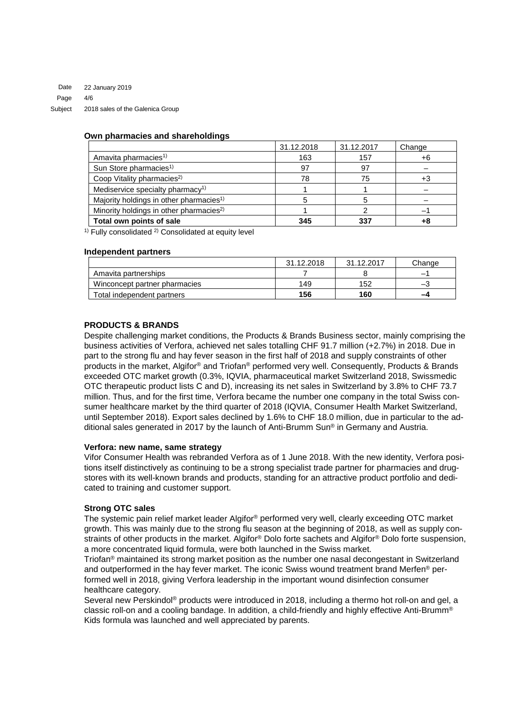22 January 2019 4/6 2018 sales of the Galenica Group Date Page Subject

#### **Own pharmacies and shareholdings**

|                                                     | 31.12.2018 | 31.12.2017 | Change |
|-----------------------------------------------------|------------|------------|--------|
| Amavita pharmacies <sup>1)</sup>                    | 163        | 157        | $+6$   |
| Sun Store pharmacies <sup>1)</sup>                  | 97         | 97         |        |
| Coop Vitality pharmacies <sup>2)</sup>              | 78         | 75         | +3     |
| Mediservice specialty pharmacy <sup>1)</sup>        |            |            |        |
| Majority holdings in other pharmacies <sup>1)</sup> |            |            |        |
| Minority holdings in other pharmacies <sup>2)</sup> |            |            |        |
| Total own points of sale                            | 345        | 337        |        |

 $1)$  Fully consolidated  $2)$  Consolidated at equity level

#### **Independent partners**

|                               | 31.12.2018 | 31.12.2017 | Change                   |
|-------------------------------|------------|------------|--------------------------|
| Amavita partnerships          |            |            |                          |
| Winconcept partner pharmacies | 149        | 152        | $\overline{\phantom{a}}$ |
| Total independent partners    | 156        | 160        | -4                       |

#### **PRODUCTS & BRANDS**

Despite challenging market conditions, the Products & Brands Business sector, mainly comprising the business activities of Verfora, achieved net sales totalling CHF 91.7 million (+2.7%) in 2018. Due in part to the strong flu and hay fever season in the first half of 2018 and supply constraints of other products in the market, Algifor® and Triofan® performed very well. Consequently, Products & Brands exceeded OTC market growth (0.3%, IQVIA, pharmaceutical market Switzerland 2018, Swissmedic OTC therapeutic product lists C and D), increasing its net sales in Switzerland by 3.8% to CHF 73.7 million. Thus, and for the first time, Verfora became the number one company in the total Swiss consumer healthcare market by the third quarter of 2018 (IQVIA, Consumer Health Market Switzerland, until September 2018). Export sales declined by 1.6% to CHF 18.0 million, due in particular to the additional sales generated in 2017 by the launch of Anti-Brumm Sun® in Germany and Austria.

#### **Verfora: new name, same strategy**

Vifor Consumer Health was rebranded Verfora as of 1 June 2018. With the new identity, Verfora positions itself distinctively as continuing to be a strong specialist trade partner for pharmacies and drugstores with its well-known brands and products, standing for an attractive product portfolio and dedicated to training and customer support.

#### **Strong OTC sales**

The systemic pain relief market leader Algifor® performed very well, clearly exceeding OTC market growth. This was mainly due to the strong flu season at the beginning of 2018, as well as supply constraints of other products in the market. Algifor® Dolo forte sachets and Algifor® Dolo forte suspension, a more concentrated liquid formula, were both launched in the Swiss market.

Triofan® maintained its strong market position as the number one nasal decongestant in Switzerland and outperformed in the hay fever market. The iconic Swiss wound treatment brand Merfen® performed well in 2018, giving Verfora leadership in the important wound disinfection consumer healthcare category.

Several new Perskindol<sup>®</sup> products were introduced in 2018, including a thermo hot roll-on and gel, a classic roll-on and a cooling bandage. In addition, a child-friendly and highly effective Anti-Brumm® Kids formula was launched and well appreciated by parents.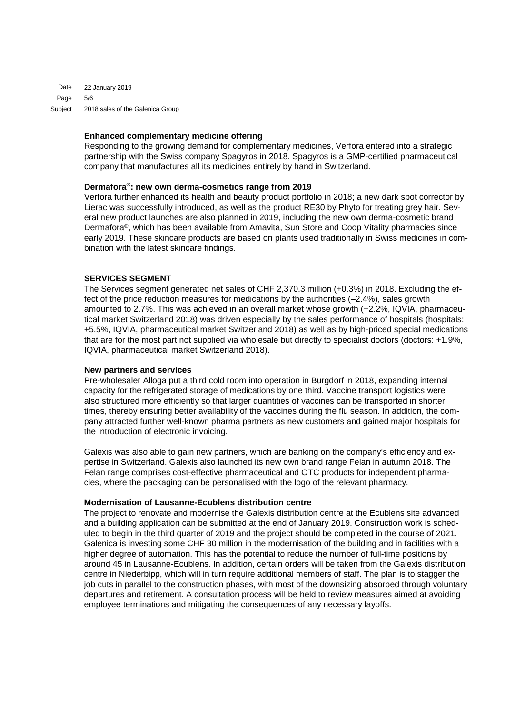22 January 2019 5/6 2018 sales of the Galenica Group Date Page Subject

#### **Enhanced complementary medicine offering**

Responding to the growing demand for complementary medicines, Verfora entered into a strategic partnership with the Swiss company Spagyros in 2018. Spagyros is a GMP-certified pharmaceutical company that manufactures all its medicines entirely by hand in Switzerland.

#### **Dermafora®: new own derma-cosmetics range from 2019**

Verfora further enhanced its health and beauty product portfolio in 2018; a new dark spot corrector by Lierac was successfully introduced, as well as the product RE30 by Phyto for treating grey hair. Several new product launches are also planned in 2019, including the new own derma-cosmetic brand Dermafora®, which has been available from Amavita, Sun Store and Coop Vitality pharmacies since early 2019. These skincare products are based on plants used traditionally in Swiss medicines in combination with the latest skincare findings.

# **SERVICES SEGMENT**

The Services segment generated net sales of CHF 2,370.3 million (+0.3%) in 2018. Excluding the effect of the price reduction measures for medications by the authorities (–2.4%), sales growth amounted to 2.7%. This was achieved in an overall market whose growth (+2.2%, IQVIA, pharmaceutical market Switzerland 2018) was driven especially by the sales performance of hospitals (hospitals: +5.5%, IQVIA, pharmaceutical market Switzerland 2018) as well as by high-priced special medications that are for the most part not supplied via wholesale but directly to specialist doctors (doctors: +1.9%, IQVIA, pharmaceutical market Switzerland 2018).

# **New partners and services**

Pre-wholesaler Alloga put a third cold room into operation in Burgdorf in 2018, expanding internal capacity for the refrigerated storage of medications by one third. Vaccine transport logistics were also structured more efficiently so that larger quantities of vaccines can be transported in shorter times, thereby ensuring better availability of the vaccines during the flu season. In addition, the company attracted further well-known pharma partners as new customers and gained major hospitals for the introduction of electronic invoicing.

Galexis was also able to gain new partners, which are banking on the company's efficiency and expertise in Switzerland. Galexis also launched its new own brand range Felan in autumn 2018. The Felan range comprises cost-effective pharmaceutical and OTC products for independent pharmacies, where the packaging can be personalised with the logo of the relevant pharmacy.

# **Modernisation of Lausanne-Ecublens distribution centre**

The project to renovate and modernise the Galexis distribution centre at the Ecublens site advanced and a building application can be submitted at the end of January 2019. Construction work is scheduled to begin in the third quarter of 2019 and the project should be completed in the course of 2021. Galenica is investing some CHF 30 million in the modernisation of the building and in facilities with a higher degree of automation. This has the potential to reduce the number of full-time positions by around 45 in Lausanne-Ecublens. In addition, certain orders will be taken from the Galexis distribution centre in Niederbipp, which will in turn require additional members of staff. The plan is to stagger the job cuts in parallel to the construction phases, with most of the downsizing absorbed through voluntary departures and retirement. A consultation process will be held to review measures aimed at avoiding employee terminations and mitigating the consequences of any necessary layoffs.